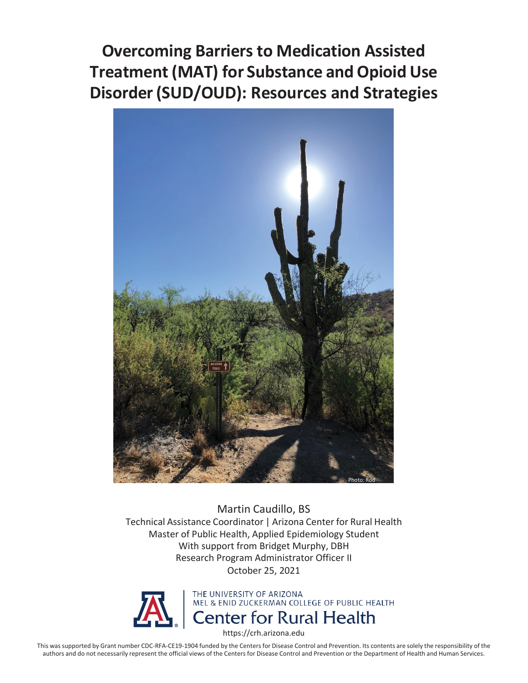**Treatment (MAT) for Substance and Opioid Use Disorder (SUD/OUD): Resources and Strategies Overcoming Barriers to Medication Assisted** 



 Martin Caudillo, BS Technical Assistance Coordinator | Arizona Center for Rural Health Master of Public Health, Applied Epidemiology Student With support from Bridget Murphy, DBH Research Program Administrator Officer II October 25, 2021



<https://crh.arizona.edu>

 This was supported by Grant number CDC-RFA-CE19-1904 funded by the Centers for Disease Control and Prevention. Its contents are solely the responsibility of the authors and do not necessarily represent the official views of the Centers for Disease Control and Prevention or the Department of Health and Human Services.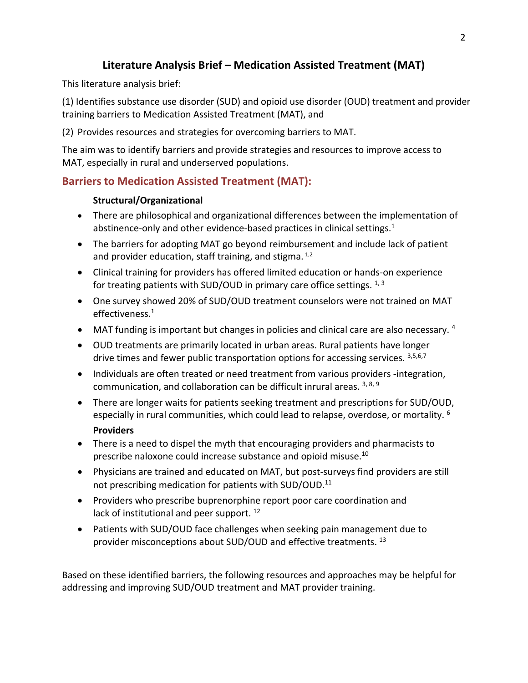# **Literature Analysis Brief – Medication Assisted Treatment (MAT)**

This literature analysis brief:

 (1) Identifies substance use disorder (SUD) and opioid use disorder (OUD) treatment and provider training barriers to Medication Assisted Treatment (MAT), and

(2) Provides resources and strategies for overcoming barriers to MAT.

The aim was to identify barriers and provide strategies and resources to improve access to MAT, especially in rural and underserved populations.

# **Barriers to Medication Assisted Treatment (MAT):**

### **Structural/Organizational**

- abstinence-only and other evidence-based practices in clinical settings.<sup>1</sup> • There are philosophical and organizational differences between the implementation of
- The barriers for adopting MAT go beyond reimbursement and include lack of patient and provider education, staff training, and stigma.  $1/2$
- for treating patients with SUD/OUD in primary care office settings.  $1, 3$ • Clinical training for providers has offered limited education or hands-on experience
- One survey showed 20% of SUD/OUD treatment counselors were not trained on MAT effectiveness.1
- MAT funding is important but changes in policies and clinical care are also necessary. 4
- OUD treatments are primarily located in urban areas. Rural patients have longer drive times and fewer public transportation options for accessing services. 3,5,6,7
- communication, and collaboration can be difficult inrural areas. 3, 8, 9 • Individuals are often treated or need treatment from various providers -integration,
- especially in rural communities, which could lead to relapse, overdose, or mortality.  $^6$ • There are longer waits for patients seeking treatment and prescriptions for SUD/OUD, **Providers**
- prescribe naloxone could increase substance and opioid misuse.<sup>10</sup> • There is a need to dispel the myth that encouraging providers and pharmacists to
- Physicians are trained and educated on MAT, but post-surveys find providers are still not prescribing medication for patients with SUD/OUD.<sup>11</sup>
- lack of institutional and peer support. <sup>12</sup> • Providers who prescribe buprenorphine report poor care coordination and
- Patients with SUD/OUD face challenges when seeking pain management due to provider misconceptions about SUD/OUD and effective treatments. <sup>13</sup>

 addressing and improving SUD/OUD treatment and MAT provider training. Based on these identified barriers, the following resources and approaches may be helpful for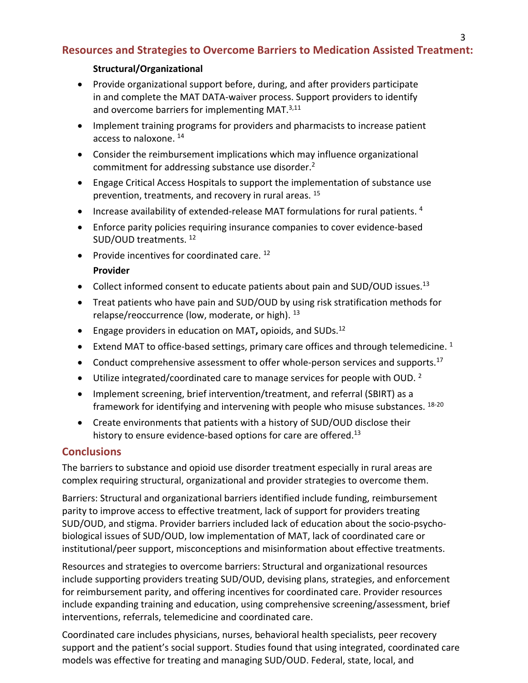# **Resources and Strategies to Overcome Barriers to Medication Assisted Treatment:**

### **Structural/Organizational**

- Provide organizational support before, during, and after providers participate in and complete the MAT DATA-waiver process. Support providers to identify and overcome barriers for implementing MAT.<sup>3,11</sup>
- Implement training programs for providers and pharmacists to increase patient access to naloxone.<sup>14</sup>
- Consider the reimbursement implications which may influence organizational commitment for addressing substance use disorder.2
- Engage Critical Access Hospitals to support the implementation of substance use prevention, treatments, and recovery in rural areas. 15
- Increase availability of extended-release MAT formulations for rural patients.  $4$
- Enforce parity policies requiring insurance companies to cover evidence-based SUD/OUD treatments. 12
- Provide incentives for coordinated care. 12

### **Provider**

- Collect informed consent to educate patients about pain and SUD/OUD issues.<sup>13</sup>
- relapse/reoccurrence (low, moderate, or high). <sup>13</sup> • Treat patients who have pain and SUD/OUD by using risk stratification methods for
- Engage providers in education on MAT**,** opioids, and SUDs.12
- Extend MAT to office-based settings, primary care offices and through telemedicine.  $1$
- Conduct comprehensive assessment to offer whole-person services and supports.<sup>17</sup>
- Utilize integrated/coordinated care to manage services for people with OUD.<sup>2</sup>
- framework for identifying and intervening with people who misuse substances. <sup>18-20</sup> • Implement screening, brief intervention/treatment, and referral (SBIRT) as a
- • Create environments that patients with a history of SUD/OUD disclose their history to ensure evidence-based options for care are offered.<sup>13</sup>

## **Conclusions**

 complex requiring structural, organizational and provider strategies to overcome them. The barriers to substance and opioid use disorder treatment especially in rural areas are

Barriers: Structural and organizational barriers identified include funding, reimbursement parity to improve access to effective treatment, lack of support for providers treating SUD/OUD, and stigma. Provider barriers included lack of education about the socio-psychobiological issues of SUD/OUD, low implementation of MAT, lack of coordinated care or institutional/peer support, misconceptions and misinformation about effective treatments.

Resources and strategies to overcome barriers: Structural and organizational resources include supporting providers treating SUD/OUD, devising plans, strategies, and enforcement for reimbursement parity, and offering incentives for coordinated care. Provider resources include expanding training and education, using comprehensive screening/assessment, brief interventions, referrals, telemedicine and coordinated care.

Coordinated care includes physicians, nurses, behavioral health specialists, peer recovery support and the patient's social support. Studies found that using integrated, coordinated care models was effective for treating and managing SUD/OUD. Federal, state, local, and